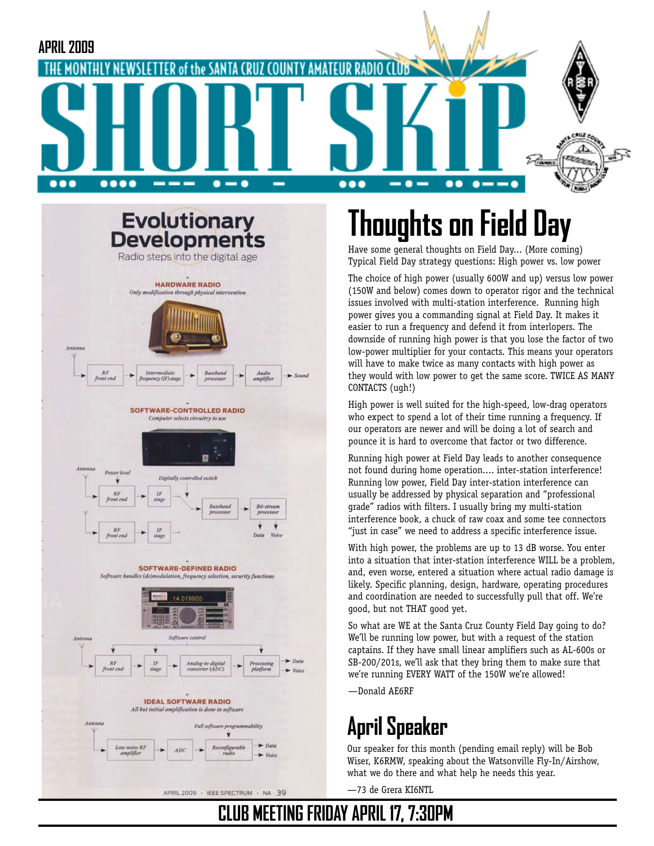



APRIL 2009 - IEEE SPECTRUM - NA 39

# **Thoughts on Field Day**

Have some general thoughts on Field Day... (More coming) Typical Field Day strategy questions: High power vs. low power

The choice of high power (usually 600W and up) versus low power (150W and below) comes down to operator rigor and the technical issues involved with multi-station interference. Running high power gives you a commanding signal at Field Day. It makes it easier to run a frequency and defend it from interlopers. The downside of running high power is that you lose the factor of two low-power multiplier for your contacts. This means your operators will have to make twice as many contacts with high power as they would with low power to get the same score. TWICE AS MANY CONTACTS (ugh!)

High power is well suited for the high-speed, low-drag operators who expect to spend a lot of their time running a frequency. If our operators are newer and will be doing a lot of search and pounce it is hard to overcome that factor or two difference.

Running high power at Field Day leads to another consequence not found during home operation.... inter-station interference! Running low power, Field Day inter-station interference can usually be addressed by physical separation and "professional grade" radios with filters. I usually bring my multi-station interference book, a chuck of raw coax and some tee connectors "just in case" we need to address a specific interference issue.

With high power, the problems are up to 13 dB worse. You enter into a situation that inter-station interference WILL be a problem, and, even worse, entered a situation where actual radio damage is likely. Specific planning, design, hardware, operating procedures and coordination are needed to successfully pull that off. We're good, but not THAT good yet.

So what are WE at the Santa Cruz County Field Day going to do? We'll be running low power, but with a request of the station captains. If they have small linear amplifiers such as AL-600s or SB-200/201s, we'll ask that they bring them to make sure that we're running EVERY WATT of the 150W we're allowed!

—Donald AE6RF

## **April Speaker**

Our speaker for this month (pending email reply) will be Bob Wiser, K6RMW, speaking about the Watsonville Fly-In/Airshow, what we do there and what help he needs this year.

—73 de Grera KI6NTL

## **MEETING FRIDAY APRIL 17, 7:30PM**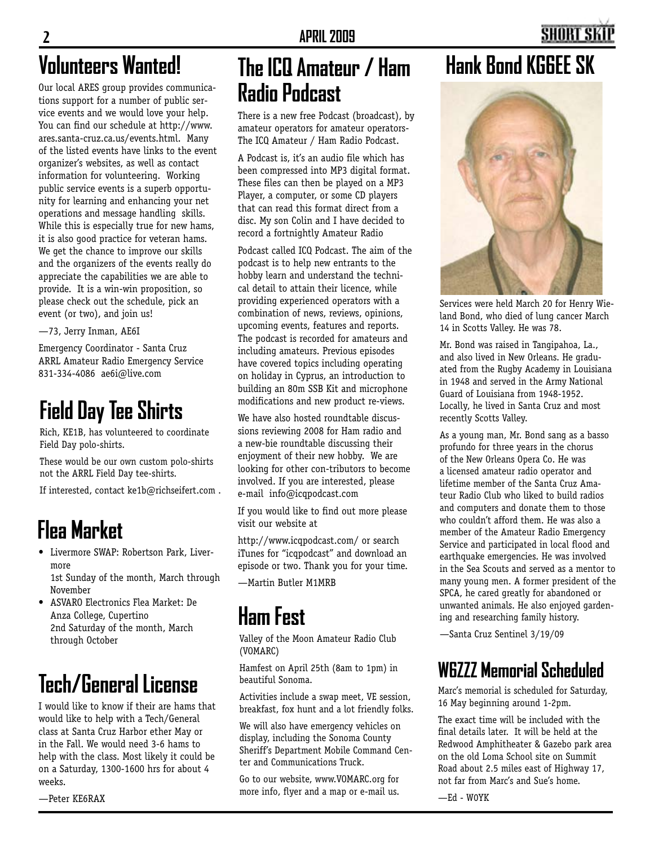## **Volunteers Wanted!**

Our local ARES group provides communications support for a number of public service events and we would love your help. You can find our schedule at http://www. ares.santa-cruz.ca.us/events.html. Many of the listed events have links to the event organizer's websites, as well as contact information for volunteering. Working public service events is a superb opportunity for learning and enhancing your net operations and message handling skills. While this is especially true for new hams, it is also good practice for veteran hams. We get the chance to improve our skills and the organizers of the events really do appreciate the capabilities we are able to provide. It is a win-win proposition, so please check out the schedule, pick an event (or two), and join us!

—73, Jerry Inman, AE6I

Emergency Coordinator - Santa Cruz ARRL Amateur Radio Emergency Service 831-334-4086 ae6i@live.com

## **Field Day Tee Shirts**

Rich, KE1B, has volunteered to coordinate Field Day polo-shirts.

These would be our own custom polo-shirts not the ARRL Field Day tee-shirts.

If interested, contact ke1b@richseifert.com .

## **Flea Market**

- • Livermore SWAP: Robertson Park, Livermore 1st Sunday of the month, March through
- November • ASVARO Electronics Flea Market: De
- Anza College, Cupertino 2nd Saturday of the month, March through October

# **Tech/General License**

I would like to know if their are hams that would like to help with a Tech/General class at Santa Cruz Harbor ether May or in the Fall. We would need 3-6 hams to help with the class. Most likely it could be on a Saturday, 1300-1600 hrs for about 4 weeks.

—Peter KE6RAX

## **The ICQ Amateur / Ham Radio Podcast**

There is a new free Podcast (broadcast), by amateur operators for amateur operators-The ICQ Amateur / Ham Radio Podcast.

A Podcast is, it's an audio file which has been compressed into MP3 digital format. These files can then be played on a MP3 Player, a computer, or some CD players that can read this format direct from a disc. My son Colin and I have decided to record a fortnightly Amateur Radio

Podcast called ICQ Podcast. The aim of the podcast is to help new entrants to the hobby learn and understand the technical detail to attain their licence, while providing experienced operators with a combination of news, reviews, opinions, upcoming events, features and reports. The podcast is recorded for amateurs and including amateurs. Previous episodes have covered topics including operating on holiday in Cyprus, an introduction to building an 80m SSB Kit and microphone modifications and new product re-views.

We have also hosted roundtable discussions reviewing 2008 for Ham radio and a new-bie roundtable discussing their enjoyment of their new hobby. We are looking for other con-tributors to become involved. If you are interested, please e-mail info@icqpodcast.com

If you would like to find out more please visit our website at

http://www.icqpodcast.com/ or search iTunes for "icqpodcast" and download an episode or two. Thank you for your time.

—Martin Butler M1MRB

## **Ham Fest**

Valley of the Moon Amateur Radio Club (VOMARC)

Hamfest on April 25th (8am to 1pm) in beautiful Sonoma.

Activities include a swap meet, VE session, breakfast, fox hunt and a lot friendly folks.

We will also have emergency vehicles on display, including the Sonoma County Sheriff's Department Mobile Command Center and Communications Truck.

Go to our website, www.VOMARC.org for more info, flyer and a map or e-mail us.

## **Hank Bond KG6EE SK**



Services were held March 20 for Henry Wieland Bond, who died of lung cancer March 14 in Scotts Valley. He was 78.

Mr. Bond was raised in Tangipahoa, La., and also lived in New Orleans. He graduated from the Rugby Academy in Louisiana in 1948 and served in the Army National Guard of Louisiana from 1948-1952. Locally, he lived in Santa Cruz and most recently Scotts Valley.

As a young man, Mr. Bond sang as a basso profundo for three years in the chorus of the New Orleans Opera Co. He was a licensed amateur radio operator and lifetime member of the Santa Cruz Amateur Radio Club who liked to build radios and computers and donate them to those who couldn't afford them. He was also a member of the Amateur Radio Emergency Service and participated in local flood and earthquake emergencies. He was involved in the Sea Scouts and served as a mentor to many young men. A former president of the SPCA, he cared greatly for abandoned or unwanted animals. He also enjoyed gardening and researching family history.

—Santa Cruz Sentinel 3/19/09

## **W6ZZZ Memorial Scheduled**

Marc's memorial is scheduled for Saturday, 16 May beginning around 1-2pm.

The exact time will be included with the final details later. It will be held at the Redwood Amphitheater & Gazebo park area on the old Loma School site on Summit Road about 2.5 miles east of Highway 17, not far from Marc's and Sue's home.

—Ed - W0YK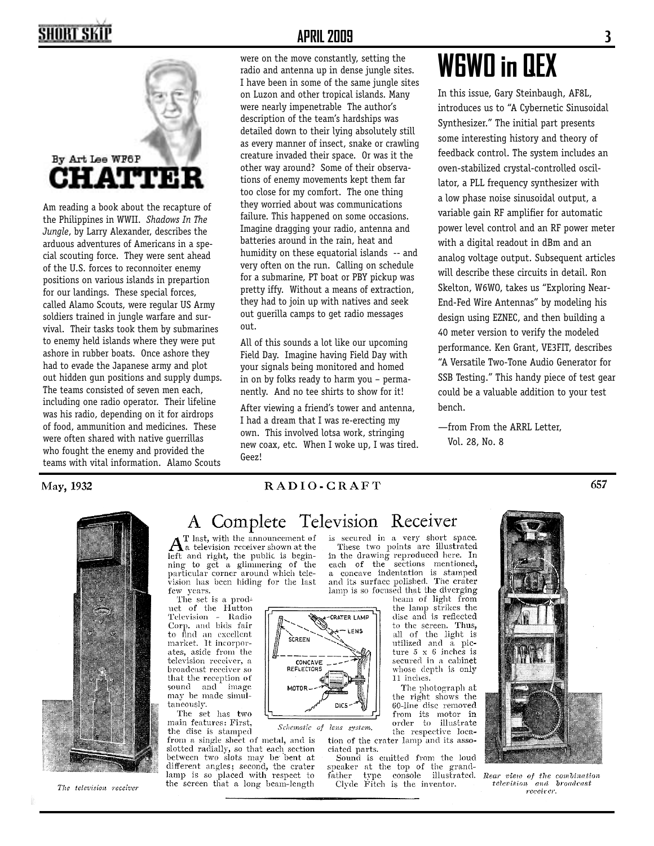## SHORT SKIP



Am reading a book about the recapture of the Philippines in WWII. *Shadows In The Jungle*, by Larry Alexander, describes the arduous adventures of Americans in a special scouting force. They were sent ahead of the U.S. forces to reconnoiter enemy positions on various islands in prepartion for our landings. These special forces, called Alamo Scouts, were regular US Army soldiers trained in jungle warfare and survival. Their tasks took them by submarines to enemy held islands where they were put ashore in rubber boats. Once ashore they had to evade the Japanese army and plot out hidden gun positions and supply dumps. The teams consisted of seven men each, including one radio operator. Their lifeline was his radio, depending on it for airdrops of food, ammunition and medicines. These were often shared with native guerrillas who fought the enemy and provided the teams with vital information. Alamo Scouts

#### **APRIL 2009 3**

were on the move constantly, setting the radio and antenna up in dense jungle sites. I have been in some of the same jungle sites on Luzon and other tropical islands. Many were nearly impenetrable The author's description of the team's hardships was detailed down to their lying absolutely still as every manner of insect, snake or crawling creature invaded their space. Or was it the other way around? Some of their observations of enemy movements kept them far too close for my comfort. The one thing they worried about was communications failure. This happened on some occasions. Imagine dragging your radio, antenna and batteries around in the rain, heat and humidity on these equatorial islands -- and very often on the run. Calling on schedule for a submarine, PT boat or PBY pickup was pretty iffy. Without a means of extraction, they had to join up with natives and seek out guerilla camps to get radio messages out.

All of this sounds a lot like our upcoming Field Day. Imagine having Field Day with your signals being monitored and homed in on by folks ready to harm you – permanently. And no tee shirts to show for it!

After viewing a friend's tower and antenna, I had a dream that I was re-erecting my own. This involved lotsa work, stringing new coax, etc. When I woke up, I was tired. Geez!

# **W6WO in QEX**

In this issue, Gary Steinbaugh, AF8L, introduces us to "A Cybernetic Sinusoidal Synthesizer." The initial part presents some interesting history and theory of feedback control. The system includes an oven-stabilized crystal-controlled oscillator, a PLL frequency synthesizer with a low phase noise sinusoidal output, a variable gain RF amplifier for automatic power level control and an RF power meter with a digital readout in dBm and an analog voltage output. Subsequent articles will describe these circuits in detail. Ron Skelton, W6WO, takes us "Exploring Near-End-Fed Wire Antennas" by modeling his design using EZNEC, and then building a 40 meter version to verify the modeled performance. Ken Grant, VE3FIT, describes "A Versatile Two-Tone Audio Generator for SSB Testing." This handy piece of test gear could be a valuable addition to your test bench.

—from From the ARRL Letter, Vol. 28, No. 8

#### May, 1932



657



The television receiver

### A Complete Television Receiver

SCREEN

MOTOR

CONCAVE<br>REFLECTORS

 $\overline{a}$ 

DIC:

CRATER LAMP

LENS

T last, with the announcement of  $A<sup>T</sup>$  last, with the announcement of  $A<sup>T</sup>$  a television receiver shown at the left and right, the public is beginning to get a glimmering of the particular corner around which television has been hiding for the last few years.

The set is a product of the Hutton Television -Radio Corp. and bids fair to find an excellent market. It incorporates, aside from the television receiver, a broadcast receiver so that the reception of sound and image may be made simultaneously.

The set has two main features: First, the disc is stamped

Schematic of lens system. from a single sheet of metal, and is slotted radially, so that each section between two slots may be bent at different angles; second, the crater lamp is so placed with respect to the screen that a long beam-length

is secured in a very short space. These two points are illustrated in the drawing reproduced here. In each of the sections mentioned, a concave indentation is stamped

and its surface polished. The crater lamp is so focused that the diverging

beam of light from the lamp strikes the disc and is reflected to the screen. Thus, all of the light is utilized and a picture  $5 \times 6$  inches is secured in a cabinet whose depth is only 11 inches.

The photograph at the right shows the 60-line disc removed from its motor in order to illustrate the respective location of the crater lamp and its asso-

ciated parts. Sound is emitted from the loud speaker at the top of the grandtype console illustrated.  ${\rm father}$ 

Clyde Fitch is the inventor.



 $\label{eq:1} Rear\ \ view\ \ of\ \ the\ \ combination$  $television$ and broadcast receiver.